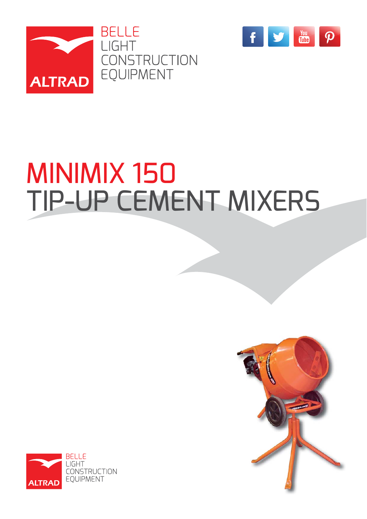



# MINIMIX 150 TIP-UP CEMENT MIXERS